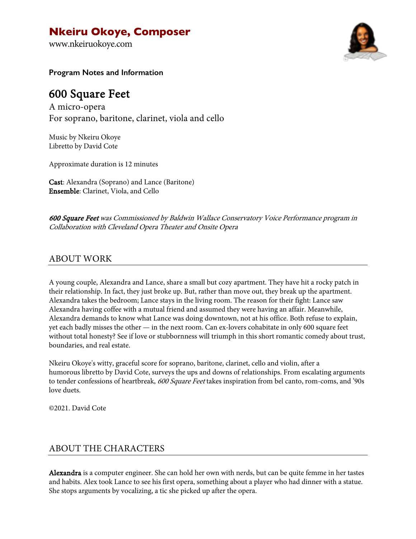# **Nkeiru Okoye, Composer**

www.nkeiruokoye.com



**Program Notes and Information**

# 600 Square Feet

A micro-opera For soprano, baritone, clarinet, viola and cello

Music by Nkeiru Okoye Libretto by David Cote

Approximate duration is 12 minutes

Cast: Alexandra (Soprano) and Lance (Baritone) Ensemble: Clarinet, Viola, and Cello

600 Square Feet was Commissioned by Baldwin Wallace Conservatory Voice Performance program in Collaboration with Cleveland Opera Theater and Onsite Opera

#### ABOUT WORK

A young couple, Alexandra and Lance, share a small but cozy apartment. They have hit a rocky patch in their relationship. In fact, they just broke up. But, rather than move out, they break up the apartment. Alexandra takes the bedroom; Lance stays in the living room. The reason for their fight: Lance saw Alexandra having coffee with a mutual friend and assumed they were having an affair. Meanwhile, Alexandra demands to know what Lance was doing downtown, not at his office. Both refuse to explain, yet each badly misses the other — in the next room. Can ex-lovers cohabitate in only 600 square feet without total honesty? See if love or stubbornness will triumph in this short romantic comedy about trust, boundaries, and real estate.

Nkeiru Okoye's witty, graceful score for soprano, baritone, clarinet, cello and violin, after a humorous libretto by David Cote, surveys the ups and downs of relationships. From escalating arguments to tender confessions of heartbreak, 600 Square Feet takes inspiration from bel canto, rom-coms, and '90s love duets.

©2021. David Cote

### ABOUT THE CHARACTERS

Alexandra is a computer engineer. She can hold her own with nerds, but can be quite femme in her tastes and habits. Alex took Lance to see his first opera, something about a player who had dinner with a statue. She stops arguments by vocalizing, a tic she picked up after the opera.